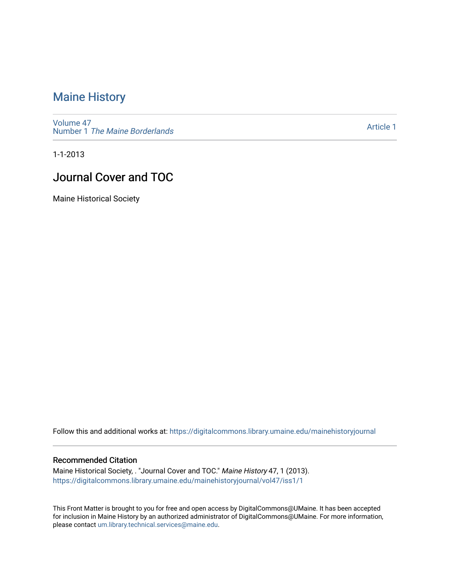### [Maine History](https://digitalcommons.library.umaine.edu/mainehistoryjournal)

[Volume 47](https://digitalcommons.library.umaine.edu/mainehistoryjournal/vol47) Number 1 [The Maine Borderlands](https://digitalcommons.library.umaine.edu/mainehistoryjournal/vol47/iss1) 

[Article 1](https://digitalcommons.library.umaine.edu/mainehistoryjournal/vol47/iss1/1) 

1-1-2013

### Journal Cover and TOC

Maine Historical Society

Follow this and additional works at: [https://digitalcommons.library.umaine.edu/mainehistoryjournal](https://digitalcommons.library.umaine.edu/mainehistoryjournal?utm_source=digitalcommons.library.umaine.edu%2Fmainehistoryjournal%2Fvol47%2Fiss1%2F1&utm_medium=PDF&utm_campaign=PDFCoverPages) 

#### Recommended Citation

Maine Historical Society, . "Journal Cover and TOC." Maine History 47, 1 (2013). [https://digitalcommons.library.umaine.edu/mainehistoryjournal/vol47/iss1/1](https://digitalcommons.library.umaine.edu/mainehistoryjournal/vol47/iss1/1?utm_source=digitalcommons.library.umaine.edu%2Fmainehistoryjournal%2Fvol47%2Fiss1%2F1&utm_medium=PDF&utm_campaign=PDFCoverPages)

This Front Matter is brought to you for free and open access by DigitalCommons@UMaine. It has been accepted for inclusion in Maine History by an authorized administrator of DigitalCommons@UMaine. For more information, please contact [um.library.technical.services@maine.edu.](mailto:um.library.technical.services@maine.edu)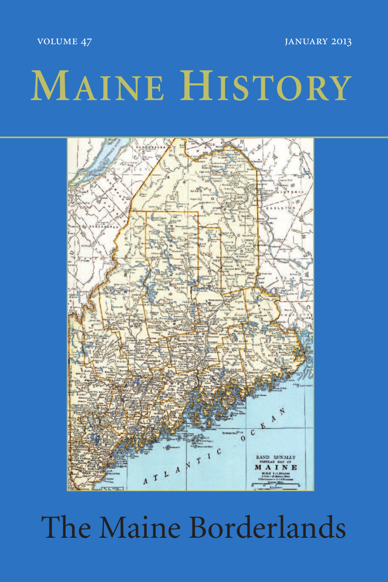VOLUME 47 JANUARY 2013

## **MAINE HISTORY**



### The Maine Borderlands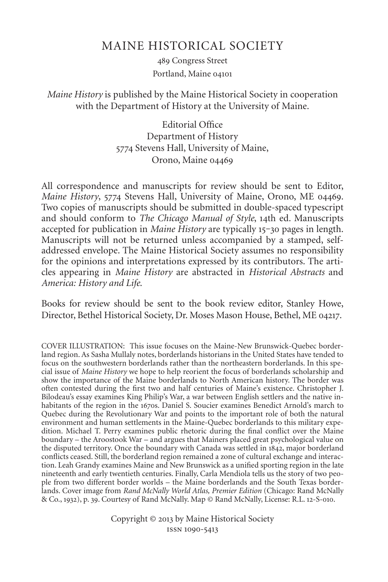### MAINE HISTORICAL SOCIETY

489 Congress Street Portland, Maine

#### *Maine History* is published by the Maine Historical Society in cooperation with the Department of History at the University of Maine.

Editorial Office Department of History 5774 Stevens Hall, University of Maine, Orono, Maine

All correspondence and manuscripts for review should be sent to Editor, *Maine History*, 5774 Stevens Hall, University of Maine, Orono, ME 04469. Two copies of manuscripts should be submitted in double-spaced typescript and should conform to *The Chicago Manual of Style*, 14th ed. Manuscripts accepted for publication in *Maine History* are typically 15-30 pages in length. Manuscripts will not be returned unless accompanied by a stamped, selfaddressed envelope. The Maine Historical Society assumes no responsibility for the opinions and interpretations expressed by its contributors. The articles appearing in *Maine History* are abstracted in *Historical Abstracts* and *America: History and Life*.

Books for review should be sent to the book review editor, Stanley Howe, Director, Bethel Historical Society, Dr. Moses Mason House, Bethel, ME 04217.

COVER ILLUSTRATION: This issue focuses on the Maine-New Brunswick-Quebec borderland region. As Sasha Mullaly notes, borderlands historians in the United States have tended to focus on the southwestern borderlands rather than the northeastern borderlands. In this special issue of *Maine History* we hope to help reorient the focus of borderlands scholarship and show the importance of the Maine borderlands to North American history. The border was often contested during the first two and half centuries of Maine's existence. Christopher J. Bilodeau's essay examines King Philip's War, a war between English settlers and the native inhabitants of the region in the 1670s. Daniel S. Soucier examines Benedict Arnold's march to Quebec during the Revolutionary War and points to the important role of both the natural environment and human settlements in the Maine-Quebec borderlands to this military expedition. Michael T. Perry examines public rhetoric during the final conflict over the Maine boundary – the Aroostook War – and argues that Mainers placed great psychological value on the disputed territory. Once the boundary with Canada was settled in 1842, major borderland conflicts ceased. Still, the borderland region remained a zone of cultural exchange and interaction. Leah Grandy examines Maine and New Brunswick as a unified sporting region in the late nineteenth and early twentieth centuries. Finally, Carla Mendiola tells us the story of two people from two different border worlds – the Maine borderlands and the South Texas borderlands. Cover image from *Rand McNally World Atlas, Premier Edition* (Chicago: Rand McNally & Co., 1932), p. 39. Courtesy of Rand McNally. Map © Rand McNally, License: R.L. 12-S-010.

> Copyright © 2013 by Maine Historical Society ISSN 1090-5413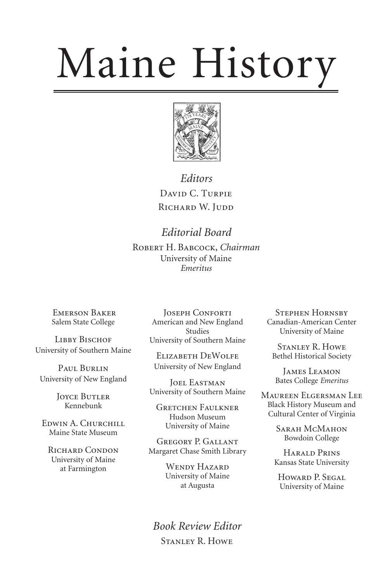# Maine History



*Editors* DAVID C. TURPIE RICHARD W. JUDD

*Editorial Board*

ROBERT H. BABCOCK, *Chairman* University of Maine *Emeritus*

**EMERSON BAKER** Salem State College

LIBBY BISCHOF University of Southern Maine

PAUL BURLIN University of New England

> **JOYCE BUTLER** Kennebunk

EDWIN A. CHURCHILL Maine State Museum

RICHARD CONDON University of Maine at Farmington

JOSEPH CONFORTI American and New England Studies University of Southern Maine

ELIZABETH DEWOLFE University of New England

JOEL EASTMAN University of Southern Maine

**GRETCHEN FAULKNER** Hudson Museum University of Maine

GREGORY P. GALLANT Margaret Chase Smith Library

> WENDY HAZARD University of Maine at Augusta

*Book Review Editor* STANLEY R. HOWE

**STEPHEN HORNSBY** Canadian-American Center University of Maine

STANLEY R. HOWE Bethel Historical Society

JAMES LEAMON Bates College *Emeritus*

MAUREEN ELGERSMAN LEE Black History Museum and Cultural Center of Virginia

> SARAH MCMAHON Bowdoin College

HARALD PRINS Kansas State University

Howard P. Segal University of Maine